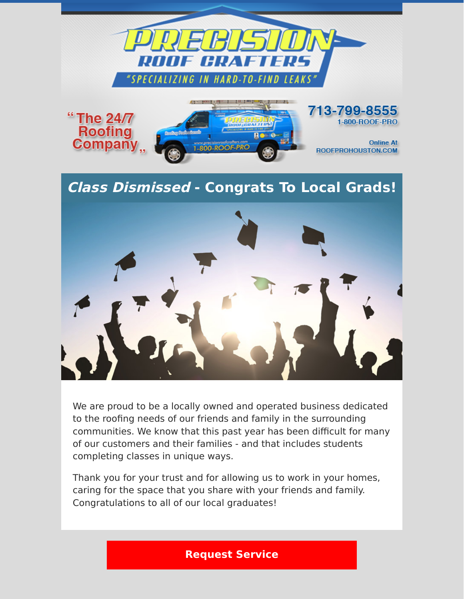

## **Class Dismissed - Congrats To Local Grads!**



We are proud to be a locally owned and operated business dedicated to the roofing needs of our friends and family in the surrounding communities. We know that this past year has been difficult for many of our customers and their families - and that includes students completing classes in unique ways.

Thank you for your trust and for allowing us to work in your homes, caring for the space that you share with your friends and family. Congratulations to all of our local graduates!

## **[Request Service](https://www.precisionroofcrafters.com/contact-us.php)**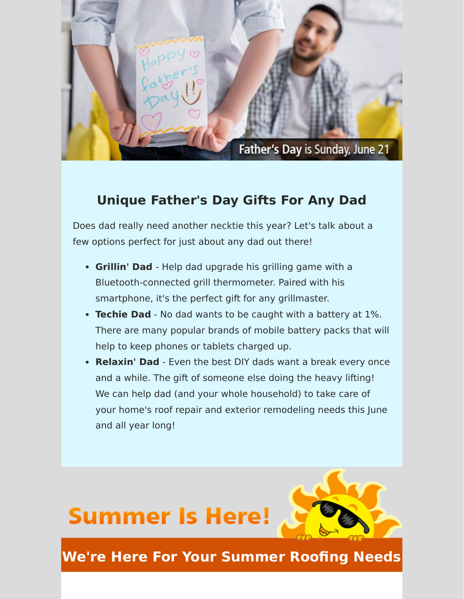

## **Unique Father's Day Gifts For Any Dad**

Does dad really need another necktie this year? Let's talk about a few options perfect for just about any dad out there!

- **Grillin' Dad**  Help dad upgrade his grilling game with a Bluetooth-connected grill thermometer. Paired with his smartphone, it's the perfect gift for any grillmaster.
- **Techie Dad** No dad wants to be caught with a battery at 1%. There are many popular brands of mobile battery packs that will help to keep phones or tablets charged up.
- **Relaxin' Dad** Even the best DIY dads want a break every once and a while. The gift of someone else doing the heavy lifting! We can help dad (and your whole household) to take care of your home's roof repair and exterior remodeling needs this June and all year long!